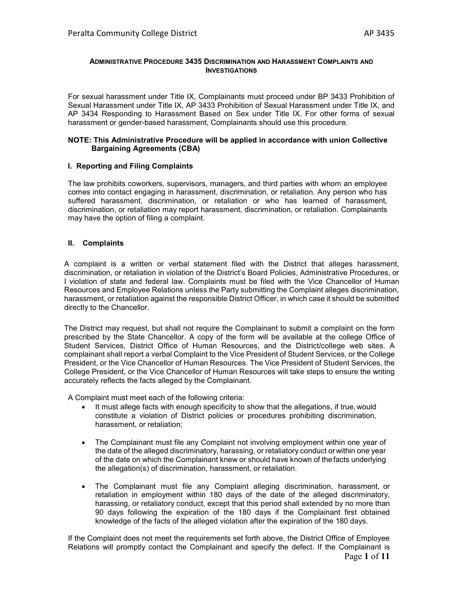#### **ADMINISTRATIVE PROCEDURE 3435 DISCRIMINATION AND HARASSMENT COMPLAINTS AND INVESTIGATIONS**

For sexual harassment under Title IX, Complainants must proceed under BP 3433 Prohibition of Sexual Harassment under Title IX, AP 3433 Prohibition of Sexual Harassment under Title IX, and AP 3434 Responding to Harassment Based on Sex under Title IX. For other forms of sexual harassment or gender-based harassment, Complainants should use this procedure.

#### **NOTE: This Administrative Procedure will be applied in accordance with union Collective Bargaining Agreements (CBA)**

## **I. Reporting and Filing Complaints**

The law prohibits coworkers, supervisors, managers, and third parties with whom an employee comes into contact engaging in harassment, discrimination, or retaliation. Any person who has suffered harassment, discrimination, or retaliation or who has learned of harassment, discrimination, or retaliation may report harassment, discrimination, or retaliation. Complainants may have the option of filing a complaint.

## **II. Complaints**

A complaint is a written or verbal statement filed with the District that alleges harassment, discrimination, or retaliation in violation of the District's Board Policies, Administrative Procedures, or I violation of state and federal law. Complaints must be filed with the Vice Chancellor of Human Resources and Employee Relations unless the Party submitting the Complaint alleges discrimination, harassment, or retaliation against the responsible District Officer, in which case it should be submitted directly to the Chancellor.

The District may request, but shall not require the Complainant to submit a complaint on the form prescribed by the State Chancellor. A copy of the form will be available at the college Office of Student Services, District Office of Human Resources, and the District/college web sites. A complainant shall report a verbal Complaint to the Vice President of Student Services, or the College President, or the Vice Chancellor of Human Resources. The Vice President of Student Services, the College President, or the Vice Chancellor of Human Resources will take steps to ensure the writing accurately reflects the facts alleged by the Complainant.

A Complaint must meet each of the following criteria:

- It must allege facts with enough specificity to show that the allegations, if true, would constitute a violation of District policies or procedures prohibiting discrimination, harassment, or retaliation;
- The Complainant must file any Complaint not involving employment within one year of the date of the alleged discriminatory, harassing, or retaliatory conduct orwithin one year of the date on which the Complainant knew or should have known of thefacts underlying the allegation(s) of discrimination, harassment, or retaliation.
- The Complainant must file any Complaint alleging discrimination, harassment, or retaliation in employment within 180 days of the date of the alleged discriminatory, harassing, or retaliatory conduct, except that this period shall extended by no more than 90 days following the expiration of the 180 days if the Complainant first obtained knowledge of the facts of the alleged violation after the expiration of the 180 days.

Page **1** of **11** If the Complaint does not meet the requirements set forth above, the District Office of Employee Relations will promptly contact the Complainant and specify the defect. If the Complainant is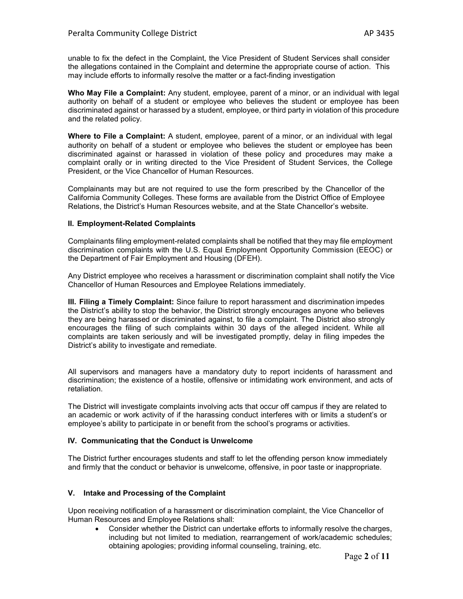unable to fix the defect in the Complaint, the Vice President of Student Services shall consider the allegations contained in the Complaint and determine the appropriate course of action. This may include efforts to informally resolve the matter or a fact-finding investigation

**Who May File a Complaint:** Any student, employee, parent of a minor, or an individual with legal authority on behalf of a student or employee who believes the student or employee has been discriminated against or harassed by a student, employee, or third party in violation of this procedure and the related policy.

**Where to File a Complaint:** A student, employee, parent of a minor, or an individual with legal authority on behalf of a student or employee who believes the student or employee has been discriminated against or harassed in violation of these policy and procedures may make a complaint orally or in writing directed to the Vice President of Student Services, the College President, or the Vice Chancellor of Human Resources.

Complainants may but are not required to use the form prescribed by the Chancellor of the California Community Colleges. These forms are available from the District Office of Employee Relations, the District's Human Resources website, and at the State Chancellor's website.

#### **II. Employment-Related Complaints**

Complainants filing employment-related complaints shall be notified that they may file employment discrimination complaints with the U.S. Equal Employment Opportunity Commission (EEOC) or the Department of Fair Employment and Housing (DFEH).

Any District employee who receives a harassment or discrimination complaint shall notify the Vice Chancellor of Human Resources and Employee Relations immediately.

**III. Filing a Timely Complaint:** Since failure to report harassment and discrimination impedes the District's ability to stop the behavior, the District strongly encourages anyone who believes they are being harassed or discriminated against, to file a complaint. The District also strongly encourages the filing of such complaints within 30 days of the alleged incident. While all complaints are taken seriously and will be investigated promptly, delay in filing impedes the District's ability to investigate and remediate.

All supervisors and managers have a mandatory duty to report incidents of harassment and discrimination; the existence of a hostile, offensive or intimidating work environment, and acts of retaliation.

The District will investigate complaints involving acts that occur off campus if they are related to an academic or work activity of if the harassing conduct interferes with or limits a student's or employee's ability to participate in or benefit from the school's programs or activities.

#### **IV. Communicating that the Conduct is Unwelcome**

The District further encourages students and staff to let the offending person know immediately and firmly that the conduct or behavior is unwelcome, offensive, in poor taste or inappropriate.

#### **V. Intake and Processing of the Complaint**

Upon receiving notification of a harassment or discrimination complaint, the Vice Chancellor of Human Resources and Employee Relations shall:

• Consider whether the District can undertake efforts to informally resolve the charges, including but not limited to mediation, rearrangement of work/academic schedules; obtaining apologies; providing informal counseling, training, etc.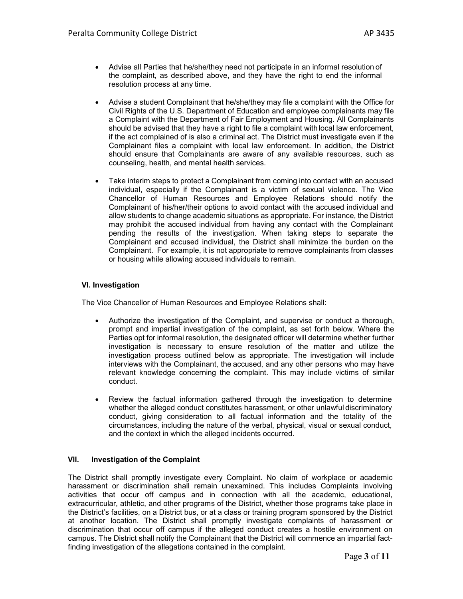- Advise all Parties that he/she/they need not participate in an informal resolution of the complaint, as described above, and they have the right to end the informal resolution process at any time.
- Advise a student Complainant that he/she/they may file a complaint with the Office for Civil Rights of the U.S. Department of Education and employee complainants may file a Complaint with the Department of Fair Employment and Housing. All Complainants should be advised that they have a right to file a complaint with local law enforcement, if the act complained of is also a criminal act. The District must investigate even if the Complainant files a complaint with local law enforcement. In addition, the District should ensure that Complainants are aware of any available resources, such as counseling, health, and mental health services.
- Take interim steps to protect a Complainant from coming into contact with an accused individual, especially if the Complainant is a victim of sexual violence. The Vice Chancellor of Human Resources and Employee Relations should notify the Complainant of his/her/their options to avoid contact with the accused individual and allow students to change academic situations as appropriate. For instance, the District may prohibit the accused individual from having any contact with the Complainant pending the results of the investigation. When taking steps to separate the Complainant and accused individual, the District shall minimize the burden on the Complainant. For example, it is not appropriate to remove complainants from classes or housing while allowing accused individuals to remain.

# **VI. Investigation**

The Vice Chancellor of Human Resources and Employee Relations shall:

- Authorize the investigation of the Complaint, and supervise or conduct a thorough, prompt and impartial investigation of the complaint, as set forth below. Where the Parties opt for informal resolution, the designated officer will determine whether further investigation is necessary to ensure resolution of the matter and utilize the investigation process outlined below as appropriate. The investigation will include interviews with the Complainant, the accused, and any other persons who may have relevant knowledge concerning the complaint. This may include victims of similar conduct.
- Review the factual information gathered through the investigation to determine whether the alleged conduct constitutes harassment, or other unlawful discriminatory conduct, giving consideration to all factual information and the totality of the circumstances, including the nature of the verbal, physical, visual or sexual conduct, and the context in which the alleged incidents occurred.

# **VII. Investigation of the Complaint**

The District shall promptly investigate every Complaint. No claim of workplace or academic harassment or discrimination shall remain unexamined. This includes Complaints involving activities that occur off campus and in connection with all the academic, educational, extracurricular, athletic, and other programs of the District, whether those programs take place in the District's facilities, on a District bus, or at a class or training program sponsored by the District at another location. The District shall promptly investigate complaints of harassment or discrimination that occur off campus if the alleged conduct creates a hostile environment on campus. The District shall notify the Complainant that the District will commence an impartial factfinding investigation of the allegations contained in the complaint.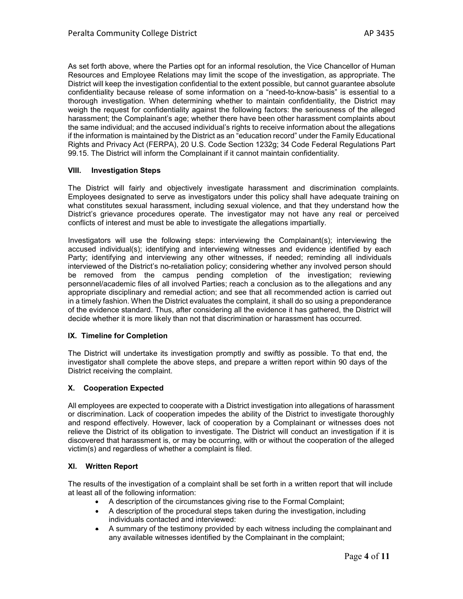As set forth above, where the Parties opt for an informal resolution, the Vice Chancellor of Human Resources and Employee Relations may limit the scope of the investigation, as appropriate. The District will keep the investigation confidential to the extent possible, but cannot guarantee absolute confidentiality because release of some information on a "need-to-know-basis" is essential to a thorough investigation. When determining whether to maintain confidentiality, the District may weigh the request for confidentiality against the following factors: the seriousness of the alleged harassment; the Complainant's age; whether there have been other harassment complaints about the same individual; and the accused individual's rights to receive information about the allegations if the information is maintained by the District as an "education record" under the Family Educational Rights and Privacy Act (FERPA), 20 U.S. Code Section 1232g; 34 Code Federal Regulations Part 99.15. The District will inform the Complainant if it cannot maintain confidentiality.

# **VIII. Investigation Steps**

The District will fairly and objectively investigate harassment and discrimination complaints. Employees designated to serve as investigators under this policy shall have adequate training on what constitutes sexual harassment, including sexual violence, and that they understand how the District's grievance procedures operate. The investigator may not have any real or perceived conflicts of interest and must be able to investigate the allegations impartially.

Investigators will use the following steps: interviewing the Complainant(s); interviewing the accused individual(s); identifying and interviewing witnesses and evidence identified by each Party; identifying and interviewing any other witnesses, if needed; reminding all individuals interviewed of the District's no-retaliation policy; considering whether any involved person should be removed from the campus pending completion of the investigation; reviewing personnel/academic files of all involved Parties; reach a conclusion as to the allegations and any appropriate disciplinary and remedial action; and see that all recommended action is carried out in a timely fashion. When the District evaluates the complaint, it shall do so using a preponderance of the evidence standard. Thus, after considering all the evidence it has gathered, the District will decide whether it is more likely than not that discrimination or harassment has occurred.

#### **IX. Timeline for Completion**

The District will undertake its investigation promptly and swiftly as possible. To that end, the investigator shall complete the above steps, and prepare a written report within 90 days of the District receiving the complaint.

#### **X. Cooperation Expected**

All employees are expected to cooperate with a District investigation into allegations of harassment or discrimination. Lack of cooperation impedes the ability of the District to investigate thoroughly and respond effectively. However, lack of cooperation by a Complainant or witnesses does not relieve the District of its obligation to investigate. The District will conduct an investigation if it is discovered that harassment is, or may be occurring, with or without the cooperation of the alleged victim(s) and regardless of whether a complaint is filed.

# **XI. Written Report**

The results of the investigation of a complaint shall be set forth in a written report that will include at least all of the following information:

- A description of the circumstances giving rise to the Formal Complaint;
- A description of the procedural steps taken during the investigation, including individuals contacted and interviewed:
- A summary of the testimony provided by each witness including the complainant and any available witnesses identified by the Complainant in the complaint;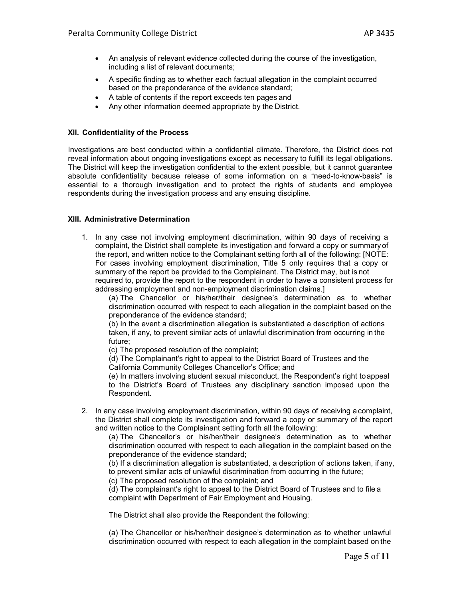- An analysis of relevant evidence collected during the course of the investigation, including a list of relevant documents;
- A specific finding as to whether each factual allegation in the complaint occurred based on the preponderance of the evidence standard;
- A table of contents if the report exceeds ten pages and
- Any other information deemed appropriate by the District.

# **XII. Confidentiality of the Process**

Investigations are best conducted within a confidential climate. Therefore, the District does not reveal information about ongoing investigations except as necessary to fulfill its legal obligations. The District will keep the investigation confidential to the extent possible, but it cannot guarantee absolute confidentiality because release of some information on a "need-to-know-basis" is essential to a thorough investigation and to protect the rights of students and employee respondents during the investigation process and any ensuing discipline.

# **XIII. Administrative Determination**

1. In any case not involving employment discrimination, within 90 days of receiving a complaint, the District shall complete its investigation and forward a copy or summaryof the report, and written notice to the Complainant setting forth all of the following: [NOTE: For cases involving employment discrimination, Title 5 only requires that a copy or summary of the report be provided to the Complainant. The District may, but is not required to, provide the report to the respondent in order to have a consistent process for addressing employment and non-employment discrimination claims.]

(a) The Chancellor or his/her/their designee's determination as to whether discrimination occurred with respect to each allegation in the complaint based on the preponderance of the evidence standard;

(b) In the event a discrimination allegation is substantiated a description of actions taken, if any, to prevent similar acts of unlawful discrimination from occurring in the future;

(c) The proposed resolution of the complaint;

(d) The Complainant's right to appeal to the District Board of Trustees and the California Community Colleges Chancellor's Office; and

(e) In matters involving student sexual misconduct, the Respondent's right toappeal to the District's Board of Trustees any disciplinary sanction imposed upon the Respondent.

2. In any case involving employment discrimination, within 90 days of receiving acomplaint, the District shall complete its investigation and forward a copy or summary of the report and written notice to the Complainant setting forth all the following:

(a) The Chancellor's or his/her/their designee's determination as to whether discrimination occurred with respect to each allegation in the complaint based on the preponderance of the evidence standard;

(b) If a discrimination allegation is substantiated, a description of actions taken, if any, to prevent similar acts of unlawful discrimination from occurring in the future;

(c) The proposed resolution of the complaint; and

(d) The complainant's right to appeal to the District Board of Trustees and to file a complaint with Department of Fair Employment and Housing.

The District shall also provide the Respondent the following:

(a) The Chancellor or his/her/their designee's determination as to whether unlawful discrimination occurred with respect to each allegation in the complaint based on the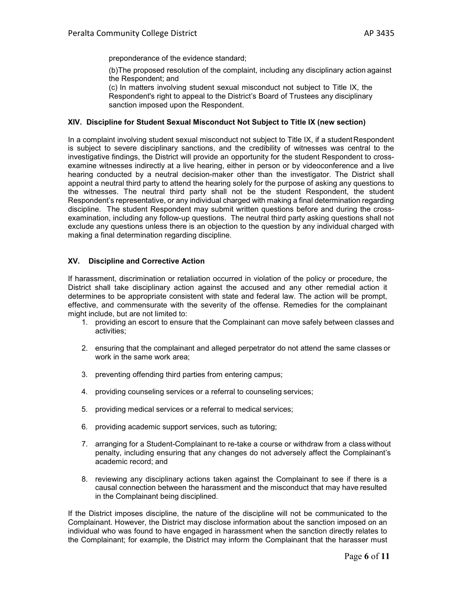preponderance of the evidence standard;

(b)The proposed resolution of the complaint, including any disciplinary action against the Respondent; and

(c) In matters involving student sexual misconduct not subject to Title IX, the Respondent's right to appeal to the District's Board of Trustees any disciplinary sanction imposed upon the Respondent.

### **XIV. Discipline for Student Sexual Misconduct Not Subject to Title IX (new section)**

In a complaint involving student sexual misconduct not subject to Title IX, if a studentRespondent is subject to severe disciplinary sanctions, and the credibility of witnesses was central to the investigative findings, the District will provide an opportunity for the student Respondent to crossexamine witnesses indirectly at a live hearing, either in person or by videoconference and a live hearing conducted by a neutral decision-maker other than the investigator. The District shall appoint a neutral third party to attend the hearing solely for the purpose of asking any questions to the witnesses. The neutral third party shall not be the student Respondent, the student Respondent's representative, or any individual charged with making a final determination regarding discipline. The student Respondent may submit written questions before and during the crossexamination, including any follow-up questions. The neutral third party asking questions shall not exclude any questions unless there is an objection to the question by any individual charged with making a final determination regarding discipline.

## **XV. Discipline and Corrective Action**

If harassment, discrimination or retaliation occurred in violation of the policy or procedure, the District shall take disciplinary action against the accused and any other remedial action it determines to be appropriate consistent with state and federal law. The action will be prompt, effective, and commensurate with the severity of the offense. Remedies for the complainant might include, but are not limited to:

- 1. providing an escort to ensure that the Complainant can move safely between classes and activities;
- 2. ensuring that the complainant and alleged perpetrator do not attend the same classes or work in the same work area;
- 3. preventing offending third parties from entering campus;
- 4. providing counseling services or a referral to counseling services;
- 5. providing medical services or a referral to medical services;
- 6. providing academic support services, such as tutoring;
- 7. arranging for a Student-Complainant to re-take a course or withdraw from a classwithout penalty, including ensuring that any changes do not adversely affect the Complainant's academic record; and
- 8. reviewing any disciplinary actions taken against the Complainant to see if there is a causal connection between the harassment and the misconduct that may have resulted in the Complainant being disciplined.

If the District imposes discipline, the nature of the discipline will not be communicated to the Complainant. However, the District may disclose information about the sanction imposed on an individual who was found to have engaged in harassment when the sanction directly relates to the Complainant; for example, the District may inform the Complainant that the harasser must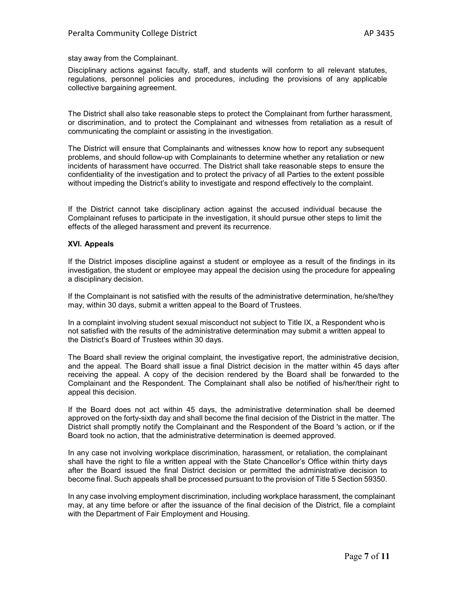stay away from the Complainant.

Disciplinary actions against faculty, staff, and students will conform to all relevant statutes, regulations, personnel policies and procedures, including the provisions of any applicable collective bargaining agreement.

The District shall also take reasonable steps to protect the Complainant from further harassment, or discrimination, and to protect the Complainant and witnesses from retaliation as a result of communicating the complaint or assisting in the investigation.

The District will ensure that Complainants and witnesses know how to report any subsequent problems, and should follow-up with Complainants to determine whether any retaliation or new incidents of harassment have occurred. The District shall take reasonable steps to ensure the confidentiality of the investigation and to protect the privacy of all Parties to the extent possible without impeding the District's ability to investigate and respond effectively to the complaint.

If the District cannot take disciplinary action against the accused individual because the Complainant refuses to participate in the investigation, it should pursue other steps to limit the effects of the alleged harassment and prevent its recurrence.

## **XVI. Appeals**

If the District imposes discipline against a student or employee as a result of the findings in its investigation, the student or employee may appeal the decision using the procedure for appealing a disciplinary decision.

If the Complainant is not satisfied with the results of the administrative determination, he/she/they may, within 30 days, submit a written appeal to the Board of Trustees.

In a complaint involving student sexual misconduct not subject to Title IX, a Respondent who is not satisfied with the results of the administrative determination may submit a written appeal to the District's Board of Trustees within 30 days.

The Board shall review the original complaint, the investigative report, the administrative decision, and the appeal. The Board shall issue a final District decision in the matter within 45 days after receiving the appeal. A copy of the decision rendered by the Board shall be forwarded to the Complainant and the Respondent. The Complainant shall also be notified of his/her/their right to appeal this decision.

If the Board does not act within 45 days, the administrative determination shall be deemed approved on the forty-sixth day and shall become the final decision of the District in the matter. The District shall promptly notify the Complainant and the Respondent of the Board 's action, or if the Board took no action, that the administrative determination is deemed approved.

In any case not involving workplace discrimination, harassment, or retaliation, the complainant shall have the right to file a written appeal with the State Chancellor's Office within thirty days after the Board issued the final District decision or permitted the administrative decision to become final. Such appeals shall be processed pursuant to the provision of Title 5 Section 59350.

In any case involving employment discrimination, including workplace harassment, the complainant may, at any time before or after the issuance of the final decision of the District, file a complaint with the Department of Fair Employment and Housing.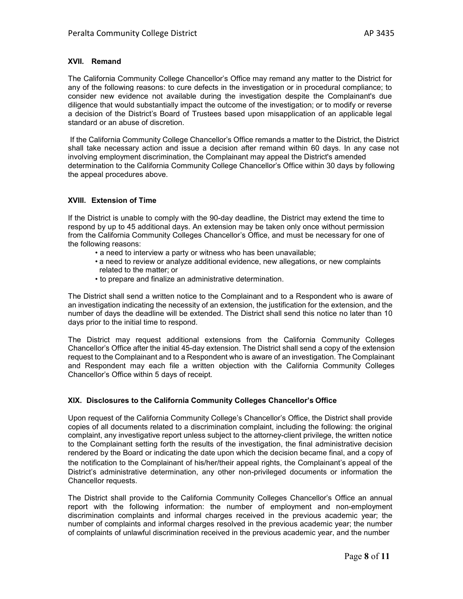## **XVII. Remand**

The California Community College Chancellor's Office may remand any matter to the District for any of the following reasons: to cure defects in the investigation or in procedural compliance; to consider new evidence not available during the investigation despite the Complainant's due diligence that would substantially impact the outcome of the investigation; or to modify or reverse a decision of the District's Board of Trustees based upon misapplication of an applicable legal standard or an abuse of discretion.

If the California Community College Chancellor's Office remands a matter to the District, the District shall take necessary action and issue a decision after remand within 60 days. In any case not involving employment discrimination, the Complainant may appeal the District's amended determination to the California Community College Chancellor's Office within 30 days by following the appeal procedures above.

## **XVIII. Extension of Time**

If the District is unable to comply with the 90-day deadline, the District may extend the time to respond by up to 45 additional days. An extension may be taken only once without permission from the California Community Colleges Chancellor's Office, and must be necessary for one of the following reasons:

- a need to interview a party or witness who has been unavailable;
- a need to review or analyze additional evidence, new allegations, or new complaints related to the matter; or
- to prepare and finalize an administrative determination.

The District shall send a written notice to the Complainant and to a Respondent who is aware of an investigation indicating the necessity of an extension, the justification for the extension, and the number of days the deadline will be extended. The District shall send this notice no later than 10 days prior to the initial time to respond.

The District may request additional extensions from the California Community Colleges Chancellor's Office after the initial 45-day extension. The District shall send a copy of the extension request to the Complainant and to a Respondent who is aware of an investigation. The Complainant and Respondent may each file a written objection with the California Community Colleges Chancellor's Office within 5 days of receipt.

# **XIX. Disclosures to the California Community Colleges Chancellor's Office**

Upon request of the California Community College's Chancellor's Office, the District shall provide copies of all documents related to a discrimination complaint, including the following: the original complaint, any investigative report unless subject to the attorney-client privilege, the written notice to the Complainant setting forth the results of the investigation, the final administrative decision rendered by the Board or indicating the date upon which the decision became final, and a copy of the notification to the Complainant of his/her/their appeal rights, the Complainant's appeal of the District's administrative determination, any other non-privileged documents or information the Chancellor requests.

The District shall provide to the California Community Colleges Chancellor's Office an annual report with the following information: the number of employment and non-employment discrimination complaints and informal charges received in the previous academic year; the number of complaints and informal charges resolved in the previous academic year; the number of complaints of unlawful discrimination received in the previous academic year, and the number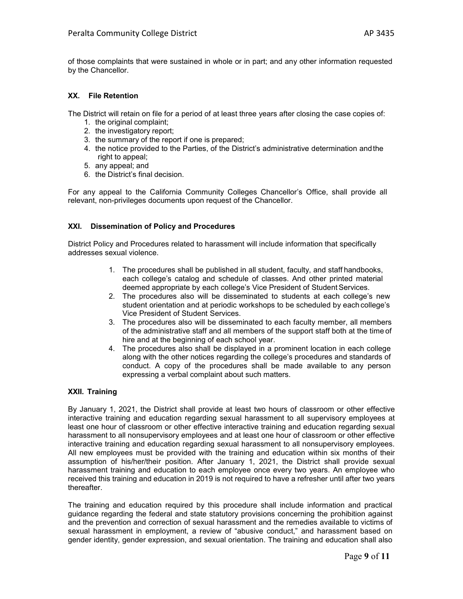of those complaints that were sustained in whole or in part; and any other information requested by the Chancellor.

## **XX. File Retention**

The District will retain on file for a period of at least three years after closing the case copies of:

- 1. the original complaint;
- 2. the investigatory report;
- 3. the summary of the report if one is prepared;
- 4. the notice provided to the Parties, of the District's administrative determination andthe right to appeal;
- 5. any appeal; and
- 6. the District's final decision.

For any appeal to the California Community Colleges Chancellor's Office, shall provide all relevant, non-privileges documents upon request of the Chancellor.

## **XXI. Dissemination of Policy and Procedures**

District Policy and Procedures related to harassment will include information that specifically addresses sexual violence.

- 1. The procedures shall be published in all student, faculty, and staff handbooks, each college's catalog and schedule of classes. And other printed material deemed appropriate by each college's Vice President of Student Services.
- 2. The procedures also will be disseminated to students at each college's new student orientation and at periodic workshops to be scheduled by each college's Vice President of Student Services.
- 3. The procedures also will be disseminated to each faculty member, all members of the administrative staff and all members of the support staff both at the time of hire and at the beginning of each school year.
- 4. The procedures also shall be displayed in a prominent location in each college along with the other notices regarding the college's procedures and standards of conduct. A copy of the procedures shall be made available to any person expressing a verbal complaint about such matters.

# **XXII. Training**

By January 1, 2021, the District shall provide at least two hours of classroom or other effective interactive training and education regarding sexual harassment to all supervisory employees at least one hour of classroom or other effective interactive training and education regarding sexual harassment to all nonsupervisory employees and at least one hour of classroom or other effective interactive training and education regarding sexual harassment to all nonsupervisory employees. All new employees must be provided with the training and education within six months of their assumption of his/her/their position. After January 1, 2021, the District shall provide sexual harassment training and education to each employee once every two years. An employee who received this training and education in 2019 is not required to have a refresher until after two years thereafter.

The training and education required by this procedure shall include information and practical guidance regarding the federal and state statutory provisions concerning the prohibition against and the prevention and correction of sexual harassment and the remedies available to victims of sexual harassment in employment, a review of "abusive conduct," and harassment based on gender identity, gender expression, and sexual orientation. The training and education shall also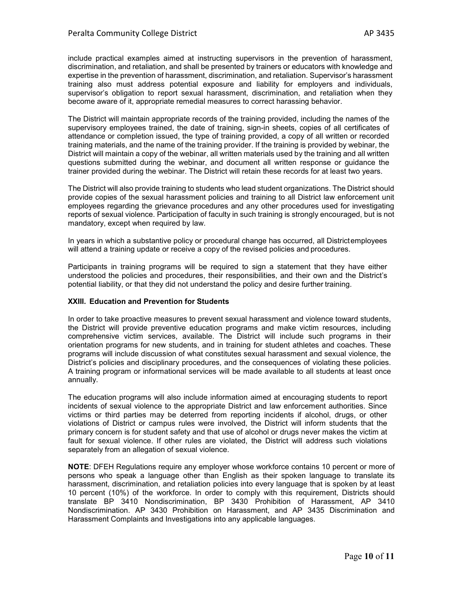include practical examples aimed at instructing supervisors in the prevention of harassment, discrimination, and retaliation, and shall be presented by trainers or educators with knowledge and expertise in the prevention of harassment, discrimination, and retaliation. Supervisor's harassment training also must address potential exposure and liability for employers and individuals, supervisor's obligation to report sexual harassment, discrimination, and retaliation when they become aware of it, appropriate remedial measures to correct harassing behavior.

The District will maintain appropriate records of the training provided, including the names of the supervisory employees trained, the date of training, sign-in sheets, copies of all certificates of attendance or completion issued, the type of training provided, a copy of all written or recorded training materials, and the name of the training provider. If the training is provided by webinar, the District will maintain a copy of the webinar, all written materials used by the training and all written questions submitted during the webinar, and document all written response or guidance the trainer provided during the webinar. The District will retain these records for at least two years.

The District will also provide training to students who lead student organizations. The District should provide copies of the sexual harassment policies and training to all District law enforcement unit employees regarding the grievance procedures and any other procedures used for investigating reports of sexual violence. Participation of faculty in such training is strongly encouraged, but is not mandatory, except when required by law.

In years in which a substantive policy or procedural change has occurred, all Districtemployees will attend a training update or receive a copy of the revised policies and procedures.

Participants in training programs will be required to sign a statement that they have either understood the policies and procedures, their responsibilities, and their own and the District's potential liability, or that they did not understand the policy and desire further training.

#### **XXIII. Education and Prevention for Students**

In order to take proactive measures to prevent sexual harassment and violence toward students, the District will provide preventive education programs and make victim resources, including comprehensive victim services, available. The District will include such programs in their orientation programs for new students, and in training for student athletes and coaches. These programs will include discussion of what constitutes sexual harassment and sexual violence, the District's policies and disciplinary procedures, and the consequences of violating these policies. A training program or informational services will be made available to all students at least once annually.

The education programs will also include information aimed at encouraging students to report incidents of sexual violence to the appropriate District and law enforcement authorities. Since victims or third parties may be deterred from reporting incidents if alcohol, drugs, or other violations of District or campus rules were involved, the District will inform students that the primary concern is for student safety and that use of alcohol or drugs never makes the victim at fault for sexual violence. If other rules are violated, the District will address such violations separately from an allegation of sexual violence.

**NOTE**: DFEH Regulations require any employer whose workforce contains 10 percent or more of persons who speak a language other than English as their spoken language to translate its harassment, discrimination, and retaliation policies into every language that is spoken by at least 10 percent (10%) of the workforce. In order to comply with this requirement, Districts should translate BP 3410 Nondiscrimination, BP 3430 Prohibition of Harassment, AP 3410 Nondiscrimination. AP 3430 Prohibition on Harassment, and AP 3435 Discrimination and Harassment Complaints and Investigations into any applicable languages.